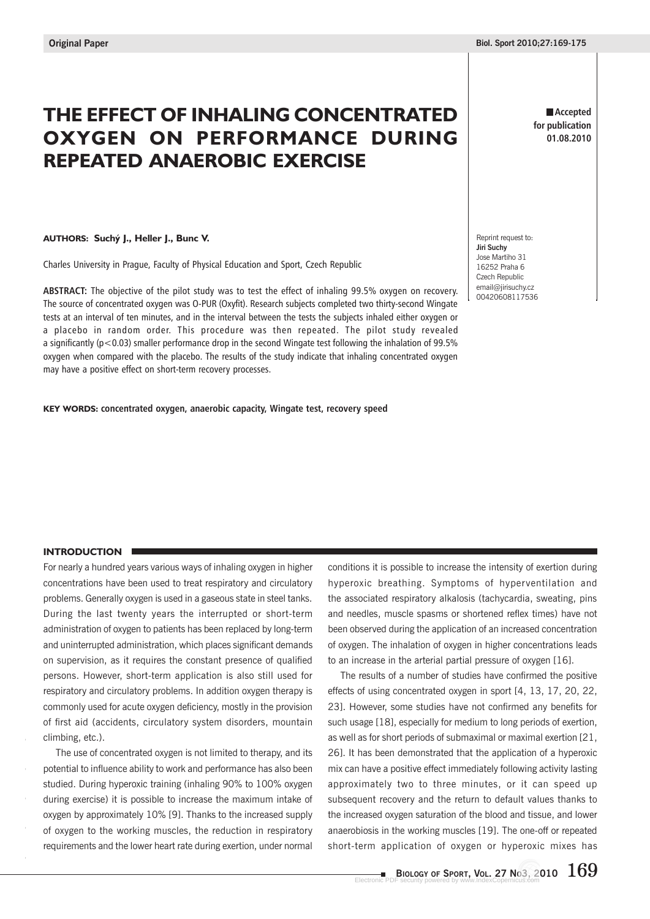# **THE EFFECT OF INHALING CONCENTRATED OXYGEN ON PERFORMANCE DURING REPEATED ANAEROBIC EXERCISE**

#### **AUTHORS: Suchý J., Heller J., Bunc V.**

Charles University in Prague, Faculty of Physical Education and Sport, Czech Republic

**ABSTRACT:** The objective of the pilot study was to test the effect of inhaling 99.5% oxygen on recovery. The source of concentrated oxygen was O-PUR (Oxyfit). Research subjects completed two thirty-second Wingate tests at an interval of ten minutes, and in the interval between the tests the subjects inhaled either oxygen or a placebo in random order. This procedure was then repeated. The pilot study revealed a significantly (p<0.03) smaller performance drop in the second Wingate test following the inhalation of 99.5% oxygen when compared with the placebo. The results of the study indicate that inhaling concentrated oxygen may have a positive effect on short-term recovery processes.

**KEY WORDS: concentrated oxygen, anaerobic capacity, Wingate test, recovery speed**

**Accepted for publication 01.08.2010**

Reprint request to: **Jiri Suchy** Jose Martiho 31 16252 Praha 6 Czech Republic email@jirisuchy.cz 00420608117536

## **INTRODUCTION**

For nearly a hundred years various ways of inhaling oxygen in higher concentrations have been used to treat respiratory and circulatory problems. Generally oxygen is used in a gaseous state in steel tanks. During the last twenty years the interrupted or short-term administration of oxygen to patients has been replaced by long-term and uninterrupted administration, which places significant demands on supervision, as it requires the constant presence of qualified persons. However, short-term application is also still used for respiratory and circulatory problems. In addition oxygen therapy is commonly used for acute oxygen deficiency, mostly in the provision of first aid (accidents, circulatory system disorders, mountain climbing, etc.).

The use of concentrated oxygen is not limited to therapy, and its potential to influence ability to work and performance has also been studied. During hyperoxic training (inhaling 90% to 100% oxygen during exercise) it is possible to increase the maximum intake of oxygen by approximately 10% [9]. Thanks to the increased supply of oxygen to the working muscles, the reduction in respiratory requirements and the lower heart rate during exertion, under normal

conditions it is possible to increase the intensity of exertion during hyperoxic breathing. Symptoms of hyperventilation and the associated respiratory alkalosis (tachycardia, sweating, pins and needles, muscle spasms or shortened reflex times) have not been observed during the application of an increased concentration of oxygen. The inhalation of oxygen in higher concentrations leads to an increase in the arterial partial pressure of oxygen [16].

The results of a number of studies have confirmed the positive effects of using concentrated oxygen in sport [4, 13, 17, 20, 22, 23]. However, some studies have not confirmed any benefits for such usage [18], especially for medium to long periods of exertion, as well as for short periods of submaximal or maximal exertion [21, 26]. It has been demonstrated that the application of a hyperoxic mix can have a positive effect immediately following activity lasting approximately two to three minutes, or it can speed up subsequent recovery and the return to default values thanks to the increased oxygen saturation of the blood and tissue, and lower anaerobiosis in the working muscles [19]. The one-off or repeated short-term application of oxygen or hyperoxic mixes has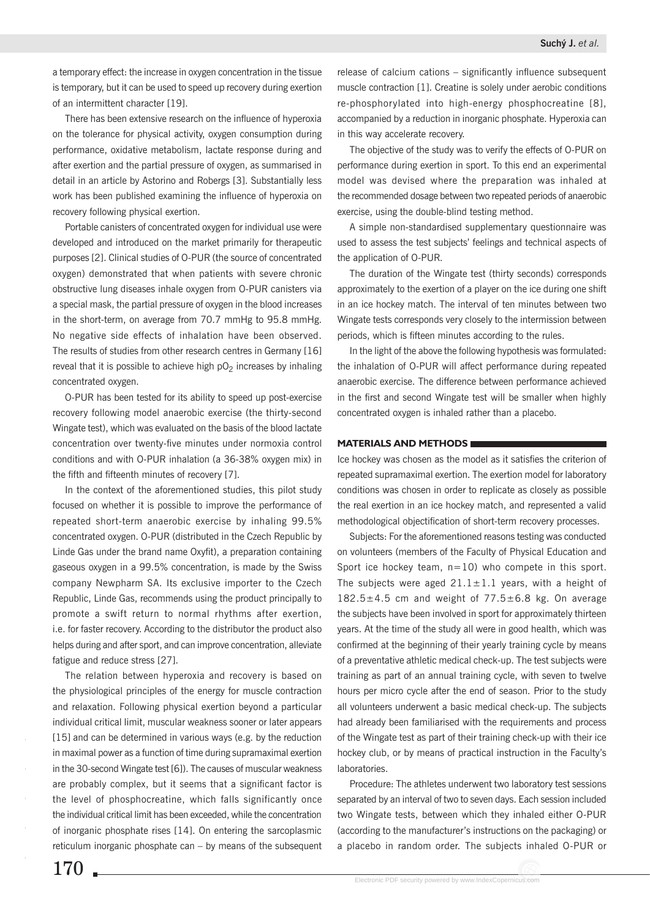a temporary effect: the increase in oxygen concentration in the tissue is temporary, but it can be used to speed up recovery during exertion of an intermittent character [19].

There has been extensive research on the influence of hyperoxia on the tolerance for physical activity, oxygen consumption during performance, oxidative metabolism, lactate response during and after exertion and the partial pressure of oxygen, as summarised in detail in an article by Astorino and Robergs [3]. Substantially less work has been published examining the influence of hyperoxia on recovery following physical exertion.

Portable canisters of concentrated oxygen for individual use were developed and introduced on the market primarily for therapeutic purposes [2]. Clinical studies of O-PUR (the source of concentrated oxygen) demonstrated that when patients with severe chronic obstructive lung diseases inhale oxygen from O-PUR canisters via a special mask, the partial pressure of oxygen in the blood increases in the short-term, on average from 70.7 mmHg to 95.8 mmHg. No negative side effects of inhalation have been observed. The results of studies from other research centres in Germany [16] reveal that it is possible to achieve high  $pO<sub>2</sub>$  increases by inhaling concentrated oxygen.

O-PUR has been tested for its ability to speed up post-exercise recovery following model anaerobic exercise (the thirty-second Wingate test), which was evaluated on the basis of the blood lactate concentration over twenty-five minutes under normoxia control conditions and with O-PUR inhalation (a 36-38% oxygen mix) in the fifth and fifteenth minutes of recovery [7].

In the context of the aforementioned studies, this pilot study focused on whether it is possible to improve the performance of repeated short-term anaerobic exercise by inhaling 99.5% concentrated oxygen. O-PUR (distributed in the Czech Republic by Linde Gas under the brand name Oxyfit), a preparation containing gaseous oxygen in a 99.5% concentration, is made by the Swiss company Newpharm SA. Its exclusive importer to the Czech Republic, Linde Gas, recommends using the product principally to promote a swift return to normal rhythms after exertion, i.e. for faster recovery. According to the distributor the product also helps during and after sport, and can improve concentration, alleviate fatigue and reduce stress [27].

The relation between hyperoxia and recovery is based on the physiological principles of the energy for muscle contraction and relaxation. Following physical exertion beyond a particular individual critical limit, muscular weakness sooner or later appears [15] and can be determined in various ways (e.g. by the reduction in maximal power as a function of time during supramaximal exertion in the 30-second Wingate test [6]). The causes of muscular weakness are probably complex, but it seems that a significant factor is the level of phosphocreatine, which falls significantly once the individual critical limit has been exceeded, while the concentration of inorganic phosphate rises [14]. On entering the sarcoplasmic reticulum inorganic phosphate can – by means of the subsequent

release of calcium cations – significantly influence subsequent muscle contraction [1]. Creatine is solely under aerobic conditions re-phosphorylated into high-energy phosphocreatine [8], accompanied by a reduction in inorganic phosphate. Hyperoxia can in this way accelerate recovery.

The objective of the study was to verify the effects of O-PUR on performance during exertion in sport. To this end an experimental model was devised where the preparation was inhaled at the recommended dosage between two repeated periods of anaerobic exercise, using the double-blind testing method.

A simple non-standardised supplementary questionnaire was used to assess the test subjects' feelings and technical aspects of the application of O-PUR.

The duration of the Wingate test (thirty seconds) corresponds approximately to the exertion of a player on the ice during one shift in an ice hockey match. The interval of ten minutes between two Wingate tests corresponds very closely to the intermission between periods, which is fifteen minutes according to the rules.

In the light of the above the following hypothesis was formulated: the inhalation of O-PUR will affect performance during repeated anaerobic exercise. The difference between performance achieved in the first and second Wingate test will be smaller when highly concentrated oxygen is inhaled rather than a placebo.

### **MATERIALS AND METHODS**

Ice hockey was chosen as the model as it satisfies the criterion of repeated supramaximal exertion. The exertion model for laboratory conditions was chosen in order to replicate as closely as possible the real exertion in an ice hockey match, and represented a valid methodological objectification of short-term recovery processes.

Subjects: For the aforementioned reasons testing was conducted on volunteers (members of the Faculty of Physical Education and Sport ice hockey team,  $n=10$ ) who compete in this sport. The subjects were aged  $21.1 \pm 1.1$  years, with a height of  $182.5\pm4.5$  cm and weight of  $77.5\pm6.8$  kg. On average the subjects have been involved in sport for approximately thirteen years. At the time of the study all were in good health, which was confirmed at the beginning of their yearly training cycle by means of a preventative athletic medical check-up. The test subjects were training as part of an annual training cycle, with seven to twelve hours per micro cycle after the end of season. Prior to the study all volunteers underwent a basic medical check-up. The subjects had already been familiarised with the requirements and process of the Wingate test as part of their training check-up with their ice hockey club, or by means of practical instruction in the Faculty's laboratories.

Procedure: The athletes underwent two laboratory test sessions separated by an interval of two to seven days. Each session included two Wingate tests, between which they inhaled either O-PUR (according to the manufacturer's instructions on the packaging) or a placebo in random order. The subjects inhaled O-PUR or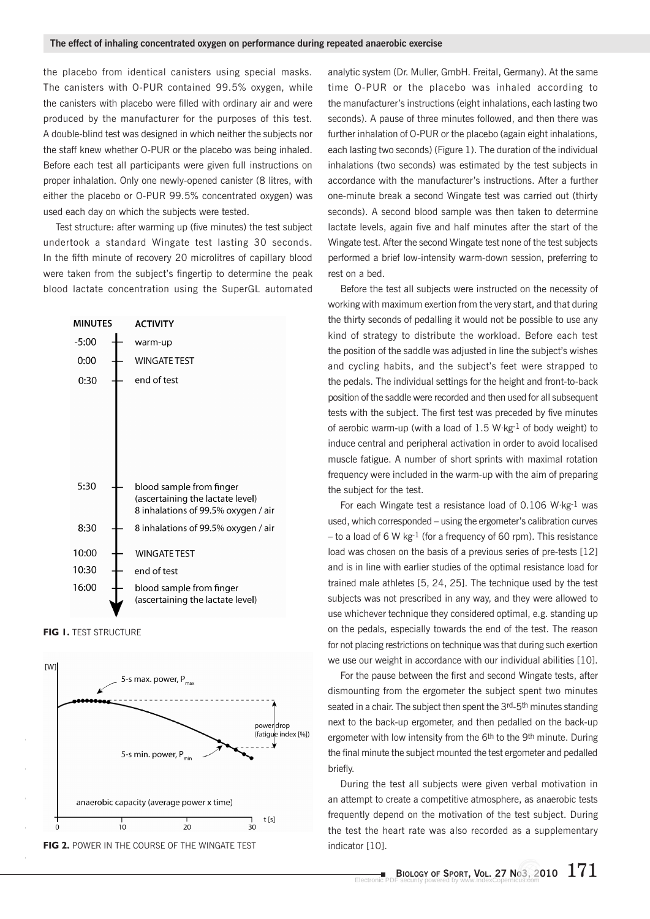the placebo from identical canisters using special masks. The canisters with O-PUR contained 99.5% oxygen, while the canisters with placebo were filled with ordinary air and were produced by the manufacturer for the purposes of this test. A double-blind test was designed in which neither the subjects nor the staff knew whether O-PUR or the placebo was being inhaled. Before each test all participants were given full instructions on proper inhalation. Only one newly-opened canister (8 litres, with either the placebo or O-PUR 99.5% concentrated oxygen) was used each day on which the subjects were tested.

Test structure: after warming up (five minutes) the test subject undertook a standard Wingate test lasting 30 seconds. In the fifth minute of recovery 20 microlitres of capillary blood were taken from the subject's fingertip to determine the peak blood lactate concentration using the SuperGL automated



**FIG 1. TEST STRUCTURE** 



analytic system (Dr. Muller, GmbH. Freital, Germany). At the same time O-PUR or the placebo was inhaled according to the manufacturer's instructions (eight inhalations, each lasting two seconds). A pause of three minutes followed, and then there was further inhalation of O-PUR or the placebo (again eight inhalations, each lasting two seconds) (Figure 1). The duration of the individual inhalations (two seconds) was estimated by the test subjects in accordance with the manufacturer's instructions. After a further one-minute break a second Wingate test was carried out (thirty seconds). A second blood sample was then taken to determine lactate levels, again five and half minutes after the start of the Wingate test. After the second Wingate test none of the test subjects performed a brief low-intensity warm-down session, preferring to rest on a bed.

Before the test all subjects were instructed on the necessity of working with maximum exertion from the very start, and that during the thirty seconds of pedalling it would not be possible to use any kind of strategy to distribute the workload. Before each test the position of the saddle was adjusted in line the subject's wishes and cycling habits, and the subject's feet were strapped to the pedals. The individual settings for the height and front-to-back position of the saddle were recorded and then used for all subsequent tests with the subject. The first test was preceded by five minutes of aerobic warm-up (with a load of 1.5 W·kg-1 of body weight) to induce central and peripheral activation in order to avoid localised muscle fatigue. A number of short sprints with maximal rotation frequency were included in the warm-up with the aim of preparing the subject for the test.

For each Wingate test a resistance load of 0.106 W·kg-1 was used, which corresponded – using the ergometer's calibration curves – to a load of 6 W kg $^{-1}$  (for a frequency of 60 rpm). This resistance load was chosen on the basis of a previous series of pre-tests [12] and is in line with earlier studies of the optimal resistance load for trained male athletes [5, 24, 25]. The technique used by the test subjects was not prescribed in any way, and they were allowed to use whichever technique they considered optimal, e.g. standing up on the pedals, especially towards the end of the test. The reason for not placing restrictions on technique was that during such exertion we use our weight in accordance with our individual abilities [10].

For the pause between the first and second Wingate tests, after dismounting from the ergometer the subject spent two minutes seated in a chair. The subject then spent the 3rd-5<sup>th</sup> minutes standing next to the back-up ergometer, and then pedalled on the back-up ergometer with low intensity from the 6<sup>th</sup> to the 9<sup>th</sup> minute. During the final minute the subject mounted the test ergometer and pedalled briefly.

During the test all subjects were given verbal motivation in an attempt to create a competitive atmosphere, as anaerobic tests frequently depend on the motivation of the test subject. During the test the heart rate was also recorded as a supplementary indicator [10].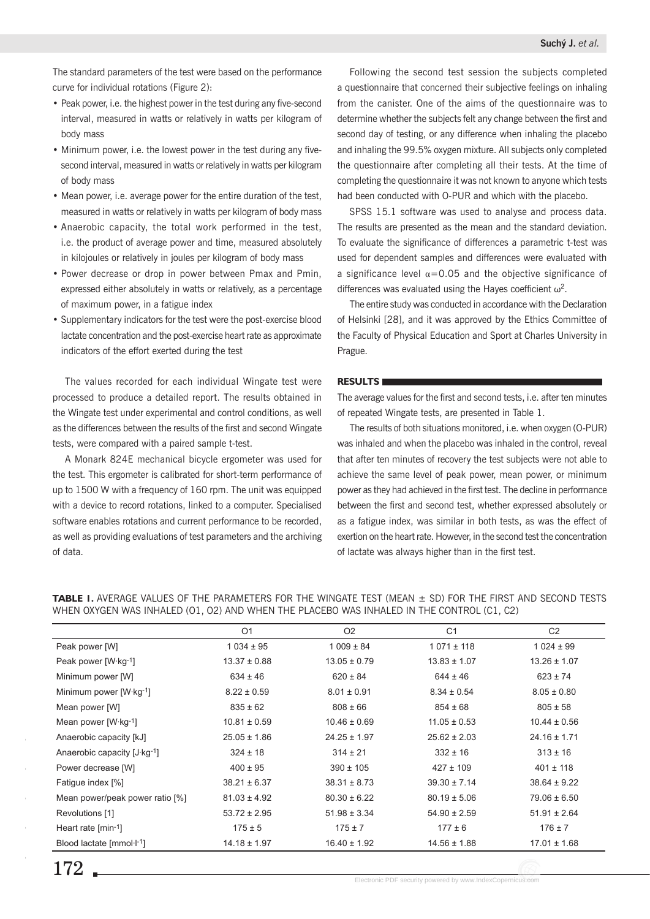The standard parameters of the test were based on the performance curve for individual rotations (Figure 2):

- Peak power, i.e. the highest power in the test during any five-second interval, measured in watts or relatively in watts per kilogram of body mass
- Minimum power, i.e. the lowest power in the test during any fivesecond interval, measured in watts or relatively in watts per kilogram of body mass
- Mean power, i.e. average power for the entire duration of the test, measured in watts or relatively in watts per kilogram of body mass
- Anaerobic capacity, the total work performed in the test, i.e. the product of average power and time, measured absolutely in kilojoules or relatively in joules per kilogram of body mass
- Power decrease or drop in power between Pmax and Pmin, expressed either absolutely in watts or relatively, as a percentage of maximum power, in a fatigue index
- Supplementary indicators for the test were the post-exercise blood lactate concentration and the post-exercise heart rate as approximate indicators of the effort exerted during the test

The values recorded for each individual Wingate test were processed to produce a detailed report. The results obtained in the Wingate test under experimental and control conditions, as well as the differences between the results of the first and second Wingate tests, were compared with a paired sample t-test.

A Monark 824E mechanical bicycle ergometer was used for the test. This ergometer is calibrated for short-term performance of up to 1500 W with a frequency of 160 rpm. The unit was equipped with a device to record rotations, linked to a computer. Specialised software enables rotations and current performance to be recorded, as well as providing evaluations of test parameters and the archiving of data.

Following the second test session the subjects completed a questionnaire that concerned their subjective feelings on inhaling from the canister. One of the aims of the questionnaire was to determine whether the subjects felt any change between the first and second day of testing, or any difference when inhaling the placebo and inhaling the 99.5% oxygen mixture. All subjects only completed the questionnaire after completing all their tests. At the time of completing the questionnaire it was not known to anyone which tests had been conducted with O-PUR and which with the placebo.

SPSS 15.1 software was used to analyse and process data. The results are presented as the mean and the standard deviation. To evaluate the significance of differences a parametric t-test was used for dependent samples and differences were evaluated with a significance level  $\alpha$ =0.05 and the objective significance of differences was evaluated using the Hayes coefficient  $\omega^2$ .

The entire study was conducted in accordance with the Declaration of Helsinki [28], and it was approved by the Ethics Committee of the Faculty of Physical Education and Sport at Charles University in Prague.

# **RESULTS**

The average values for the first and second tests, i.e. after ten minutes of repeated Wingate tests, are presented in Table 1.

The results of both situations monitored, i.e. when oxygen (O-PUR) was inhaled and when the placebo was inhaled in the control, reveal that after ten minutes of recovery the test subjects were not able to achieve the same level of peak power, mean power, or minimum power as they had achieved in the first test. The decline in performance between the first and second test, whether expressed absolutely or as a fatigue index, was similar in both tests, as was the effect of exertion on the heart rate. However, in the second test the concentration of lactate was always higher than in the first test.

**TABLE 1.** AVERAGE VALUES OF THE PARAMETERS FOR THE WINGATE TEST (MEAN ± SD) FOR THE FIRST AND SECOND TESTS WHEN OXYGEN WAS INHALED (O1, O2) AND WHEN THE PLACEBO WAS INHALED IN THE CONTROL (C1, C2)

|                                   | O <sub>1</sub>   | O <sub>2</sub>   | C <sub>1</sub>   | C <sub>2</sub>   |
|-----------------------------------|------------------|------------------|------------------|------------------|
| Peak power [W]                    | $1034 \pm 95$    | $1009 \pm 84$    | $1071 \pm 118$   | $1024 \pm 99$    |
| Peak power $[W \cdot kg^{-1}]$    | $13.37 \pm 0.88$ | $13.05 \pm 0.79$ | $13.83 \pm 1.07$ | $13.26 \pm 1.07$ |
| Minimum power [W]                 | $634 \pm 46$     | $620 \pm 84$     | $644 \pm 46$     | $623 \pm 74$     |
| Minimum power $[W \cdot kg^{-1}]$ | $8.22 \pm 0.59$  | $8.01 \pm 0.91$  | $8.34 \pm 0.54$  | $8.05 \pm 0.80$  |
| Mean power [W]                    | $835 \pm 62$     | $808 \pm 66$     | $854 \pm 68$     | $805 \pm 58$     |
| Mean power $[W \cdot kg^{-1}]$    | $10.81 \pm 0.59$ | $10.46 \pm 0.69$ | $11.05 \pm 0.53$ | $10.44 \pm 0.56$ |
| Anaerobic capacity [kJ]           | $25.05 \pm 1.86$ | $24.25 \pm 1.97$ | $25.62 \pm 2.03$ | $24.16 \pm 1.71$ |
| Anaerobic capacity [J·kg-1]       | $324 \pm 18$     | $314 \pm 21$     | $332 \pm 16$     | $313 \pm 16$     |
| Power decrease [W]                | $400 \pm 95$     | $390 \pm 105$    | $427 \pm 109$    | $401 \pm 118$    |
| Fatigue index [%]                 | $38.21 \pm 6.37$ | $38.31 \pm 8.73$ | $39.30 \pm 7.14$ | $38.64 \pm 9.22$ |
| Mean power/peak power ratio [%]   | $81.03 \pm 4.92$ | $80.30 \pm 6.22$ | $80.19 \pm 5.06$ | $79.06 \pm 6.50$ |
| Revolutions [1]                   | $53.72 \pm 2.95$ | $51.98 \pm 3.34$ | $54.90 \pm 2.59$ | $51.91 \pm 2.64$ |
| Heart rate $[min-1]$              | $175 \pm 5$      | $175 \pm 7$      | $177 \pm 6$      | $176 \pm 7$      |
| Blood lactate $[mmol·l-1]$        | $14.18 \pm 1.97$ | $16.40 \pm 1.92$ | $14.56 \pm 1.88$ | $17.01 \pm 1.68$ |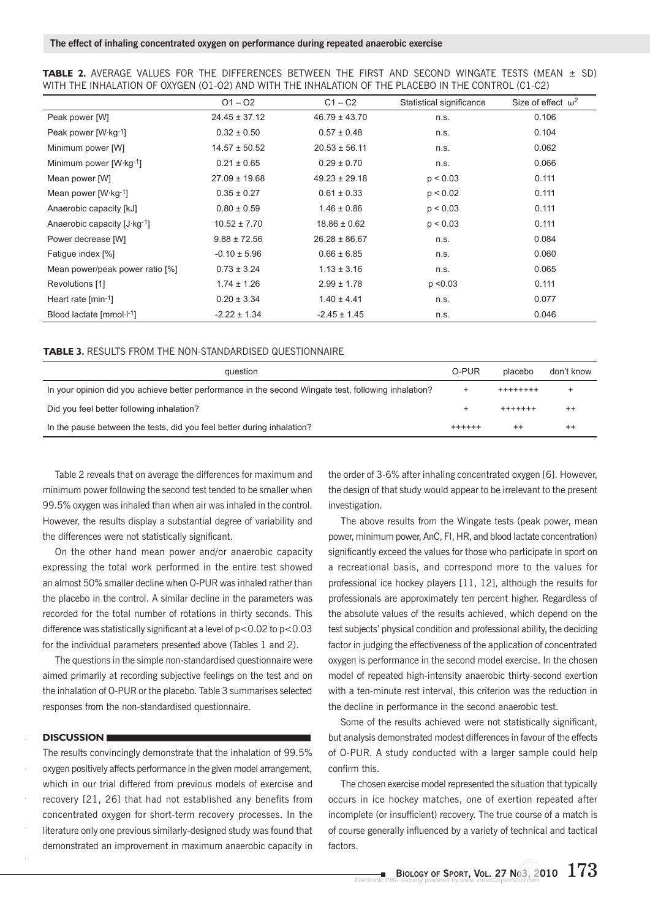|  |  | <b>TABLE 2.</b> AVERAGE VALUES FOR THE DIFFERENCES BETWEEN THE FIRST AND SECOND WINGATE TESTS (MEAN $\pm$ SD) |  |  |  |  |  |
|--|--|---------------------------------------------------------------------------------------------------------------|--|--|--|--|--|
|  |  | WITH THE INHALATION OF OXYGEN (01-02) AND WITH THE INHALATION OF THE PLACEBO IN THE CONTROL (C1-C2)           |  |  |  |  |  |

|                                   | $O1 - O2$         | $C1 - C2$         | Statistical significance | Size of effect $\omega^2$ |
|-----------------------------------|-------------------|-------------------|--------------------------|---------------------------|
| Peak power [W]                    | $24.45 \pm 37.12$ | $46.79 \pm 43.70$ | n.s.                     | 0.106                     |
| Peak power [W·kg-1]               | $0.32 \pm 0.50$   | $0.57 \pm 0.48$   | n.s.                     | 0.104                     |
| Minimum power [W]                 | $14.57 \pm 50.52$ | $20.53 \pm 56.11$ | n.s.                     | 0.062                     |
| Minimum power $[W \cdot kg^{-1}]$ | $0.21 \pm 0.65$   | $0.29 \pm 0.70$   | n.s.                     | 0.066                     |
| Mean power [W]                    | $27.09 \pm 19.68$ | $49.23 \pm 29.18$ | p < 0.03                 | 0.111                     |
| Mean power $[W \cdot kg^{-1}]$    | $0.35 \pm 0.27$   | $0.61 \pm 0.33$   | p < 0.02                 | 0.111                     |
| Anaerobic capacity [kJ]           | $0.80 \pm 0.59$   | $1.46 \pm 0.86$   | p < 0.03                 | 0.111                     |
| Anaerobic capacity [J·kg-1]       | $10.52 \pm 7.70$  | $18.86 \pm 0.62$  | p < 0.03                 | 0.111                     |
| Power decrease [W]                | $9.88 \pm 72.56$  | $26.28 \pm 86.67$ | n.s.                     | 0.084                     |
| Fatigue index [%]                 | $-0.10 \pm 5.96$  | $0.66 \pm 6.85$   | n.s.                     | 0.060                     |
| Mean power/peak power ratio [%]   | $0.73 \pm 3.24$   | $1.13 \pm 3.16$   | n.s.                     | 0.065                     |
| Revolutions [1]                   | $1.74 \pm 1.26$   | $2.99 \pm 1.78$   | p < 0.03                 | 0.111                     |
| Heart rate $[min-1]$              | $0.20 \pm 3.34$   | $1.40 \pm 4.41$   | n.s.                     | 0.077                     |
| Blood lactate $[mmol·l-1]$        | $-2.22 \pm 1.34$  | $-2.45 \pm 1.45$  | n.s.                     | 0.046                     |

#### **TABLE 3.** RESULTS FROM THE NON-STANDARDISED QUESTIONNAIRE

| question                                                                                             | O-PUR   | placebo           | don't know |
|------------------------------------------------------------------------------------------------------|---------|-------------------|------------|
| In your opinion did you achieve better performance in the second Wingate test, following inhalation? |         | $+ + + + + + + +$ |            |
| Did you feel better following inhalation?                                                            |         | $+ + + + + + +$   |            |
| In the pause between the tests, did you feel better during inhalation?                               | $+++++$ | $^{++}$           | $^{++}$    |

Table 2 reveals that on average the differences for maximum and minimum power following the second test tended to be smaller when 99.5% oxygen was inhaled than when air was inhaled in the control. However, the results display a substantial degree of variability and the differences were not statistically significant.

On the other hand mean power and/or anaerobic capacity expressing the total work performed in the entire test showed an almost 50% smaller decline when O-PUR was inhaled rather than the placebo in the control. A similar decline in the parameters was recorded for the total number of rotations in thirty seconds. This difference was statistically significant at a level of  $p<0.02$  to  $p<0.03$ for the individual parameters presented above (Tables 1 and 2).

The questions in the simple non-standardised questionnaire were aimed primarily at recording subjective feelings on the test and on the inhalation of O-PUR or the placebo. Table 3 summarises selected responses from the non-standardised questionnaire.

# **DISCUSSION**

The results convincingly demonstrate that the inhalation of 99.5% oxygen positively affects performance in the given model arrangement, which in our trial differed from previous models of exercise and recovery [21, 26] that had not established any benefits from concentrated oxygen for short-term recovery processes. In the literature only one previous similarly-designed study was found that demonstrated an improvement in maximum anaerobic capacity in

the order of 3-6% after inhaling concentrated oxygen [6]. However, the design of that study would appear to be irrelevant to the present investigation.

The above results from the Wingate tests (peak power, mean power, minimum power, AnC, FI, HR, and blood lactate concentration) significantly exceed the values for those who participate in sport on a recreational basis, and correspond more to the values for professional ice hockey players [11, 12], although the results for professionals are approximately ten percent higher. Regardless of the absolute values of the results achieved, which depend on the test subjects' physical condition and professional ability, the deciding factor in judging the effectiveness of the application of concentrated oxygen is performance in the second model exercise. In the chosen model of repeated high-intensity anaerobic thirty-second exertion with a ten-minute rest interval, this criterion was the reduction in the decline in performance in the second anaerobic test.

Some of the results achieved were not statistically significant, but analysis demonstrated modest differences in favour of the effects of O-PUR. A study conducted with a larger sample could help confirm this.

The chosen exercise model represented the situation that typically occurs in ice hockey matches, one of exertion repeated after incomplete (or insufficient) recovery. The true course of a match is of course generally influenced by a variety of technical and tactical factors.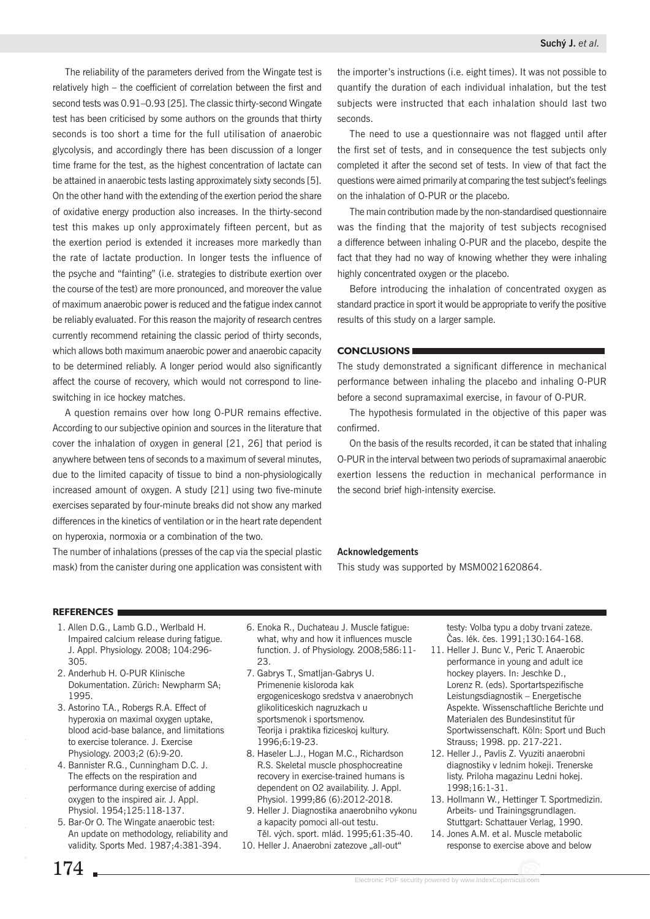The reliability of the parameters derived from the Wingate test is relatively high – the coefficient of correlation between the first and second tests was 0.91–0.93 [25]. The classic thirty-second Wingate test has been criticised by some authors on the grounds that thirty seconds is too short a time for the full utilisation of anaerobic glycolysis, and accordingly there has been discussion of a longer time frame for the test, as the highest concentration of lactate can be attained in anaerobic tests lasting approximately sixty seconds [5]. On the other hand with the extending of the exertion period the share of oxidative energy production also increases. In the thirty-second test this makes up only approximately fifteen percent, but as the exertion period is extended it increases more markedly than the rate of lactate production. In longer tests the influence of the psyche and "fainting" (i.e. strategies to distribute exertion over the course of the test) are more pronounced, and moreover the value of maximum anaerobic power is reduced and the fatigue index cannot be reliably evaluated. For this reason the majority of research centres currently recommend retaining the classic period of thirty seconds, which allows both maximum anaerobic power and anaerobic capacity to be determined reliably. A longer period would also significantly affect the course of recovery, which would not correspond to lineswitching in ice hockey matches.

A question remains over how long O-PUR remains effective. According to our subjective opinion and sources in the literature that cover the inhalation of oxygen in general [21, 26] that period is anywhere between tens of seconds to a maximum of several minutes, due to the limited capacity of tissue to bind a non-physiologically increased amount of oxygen. A study [21] using two five-minute exercises separated by four-minute breaks did not show any marked differences in the kinetics of ventilation or in the heart rate dependent on hyperoxia, normoxia or a combination of the two.

The number of inhalations (presses of the cap via the special plastic mask) from the canister during one application was consistent with the importer's instructions (i.e. eight times). It was not possible to quantify the duration of each individual inhalation, but the test subjects were instructed that each inhalation should last two seconds.

The need to use a questionnaire was not flagged until after the first set of tests, and in consequence the test subjects only completed it after the second set of tests. In view of that fact the questions were aimed primarily at comparing the test subject's feelings on the inhalation of O-PUR or the placebo.

The main contribution made by the non-standardised questionnaire was the finding that the majority of test subjects recognised a difference between inhaling O-PUR and the placebo, despite the fact that they had no way of knowing whether they were inhaling highly concentrated oxygen or the placebo.

Before introducing the inhalation of concentrated oxygen as standard practice in sport it would be appropriate to verify the positive results of this study on a larger sample.

# **CONCLUSIONS**

The study demonstrated a significant difference in mechanical performance between inhaling the placebo and inhaling O-PUR before a second supramaximal exercise, in favour of O-PUR.

The hypothesis formulated in the objective of this paper was confirmed.

On the basis of the results recorded, it can be stated that inhaling O-PUR in the interval between two periods of supramaximal anaerobic exertion lessens the reduction in mechanical performance in the second brief high-intensity exercise.

# **Acknowledgements**

This study was supported by MSM0021620864.

#### **REFERENCES**

- 1. Allen D.G., Lamb G.D., Werlbald H. Impaired calcium release during fatigue. J. Appl. Physiology. 2008; 104:296- 305.
- 2. Anderhub H. O-PUR Klinische Dokumentation. Zürich: Newpharm SA; 1995.
- 3. Astorino T.A., Robergs R.A. Effect of hyperoxia on maximal oxygen uptake, blood acid-base balance, and limitations to exercise tolerance. J. Exercise Physiology. 2003;2 (6):9-20.
- 4. Bannister R.G., Cunningham D.C. J. The effects on the respiration and performance during exercise of adding oxygen to the inspired air. J. Appl. Physiol. 1954;125:118-137.
- 5. Bar-Or O. The Wingate anaerobic test: An update on methodology, reliability and validity. Sports Med. 1987;4:381-394.
- $174 -$
- 6. Enoka R., Duchateau J. Muscle fatigue: what, why and how it influences muscle function. J. of Physiology. 2008;586:11- 23.
- 7. Gabrys T., Smatljan-Gabrys U. Primenenie kisloroda kak ergogeniceskogo sredstva v anaerobnych glikoliticeskich nagruzkach u sportsmenok i sportsmenov. Teorija i praktika fiziceskoj kultury. 1996;6:19-23.
- 8. Haseler L.J., Hogan M.C., Richardson R.S. Skeletal muscle phosphocreatine recovery in exercise-trained humans is dependent on O2 availability. J. Appl. Physiol. 1999;86 (6):2012-2018.
- 9. Heller J. Diagnostika anaerobniho vykonu a kapacity pomoci all-out testu. Těl. vých. sport. mlád. 1995;61:35-40.
- 10. Heller J. Anaerobni zatezove "all-out"

testy: Volba typu a doby trvani zateze. Čas. lék. čes. 1991;130:164-168.

- 11. Heller J. Bunc V., Peric T. Anaerobic performance in young and adult ice hockey players. In: Jeschke D., Lorenz R. (eds). Sportartspezifische Leistungsdiagnostik – Energetische Aspekte. Wissenschaftliche Berichte und Materialen des Bundesinstitut für Sportwissenschaft. Köln: Sport und Buch Strauss; 1998. pp. 217-221.
- 12. Heller J., Pavlis Z. Vyuziti anaerobni diagnostiky v lednim hokeji. Trenerske listy. Priloha magazinu Ledni hokej. 1998;16:1-31.
- 13. Hollmann W., Hettinger T. Sportmedizin. Arbeits- und Trainingsgrundlagen. Stuttgart: Schattauer Verlag, 1990.
- 14. Jones A.M. et al. Muscle metabolic response to exercise above and below